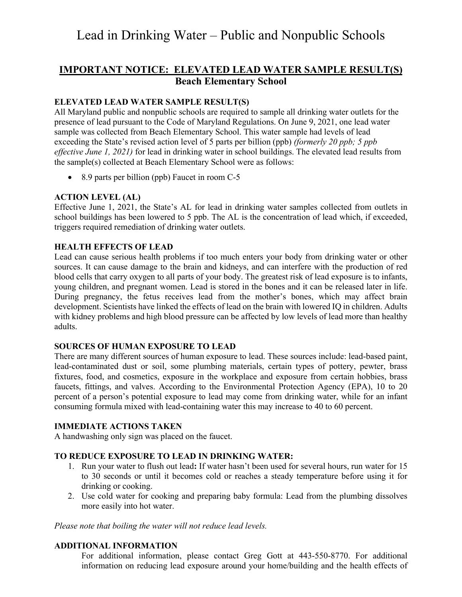# Lead in Drinking Water – Public and Nonpublic Schools

## **IMPORTANT NOTICE: ELEVATED LEAD WATER SAMPLE RESULT(S) Beach Elementary School**

#### **ELEVATED LEAD WATER SAMPLE RESULT(S)**

All Maryland public and nonpublic schools are required to sample all drinking water outlets for the presence of lead pursuant to the Code of Maryland Regulations. On June 9, 2021, one lead water sample was collected from Beach Elementary School. This water sample had levels of lead exceeding the State's revised action level of 5 parts per billion (ppb) *(formerly 20 ppb; 5 ppb effective June 1, 2021)* for lead in drinking water in school buildings. The elevated lead results from the sample(s) collected at Beach Elementary School were as follows:

• 8.9 parts per billion (ppb) Faucet in room C-5

### **ACTION LEVEL (AL)**

Effective June 1, 2021, the State's AL for lead in drinking water samples collected from outlets in school buildings has been lowered to 5 ppb. The AL is the concentration of lead which, if exceeded, triggers required remediation of drinking water outlets.

#### **HEALTH EFFECTS OF LEAD**

Lead can cause serious health problems if too much enters your body from drinking water or other sources. It can cause damage to the brain and kidneys, and can interfere with the production of red blood cells that carry oxygen to all parts of your body. The greatest risk of lead exposure is to infants, young children, and pregnant women. Lead is stored in the bones and it can be released later in life. During pregnancy, the fetus receives lead from the mother's bones, which may affect brain development. Scientists have linked the effects of lead on the brain with lowered IQ in children. Adults with kidney problems and high blood pressure can be affected by low levels of lead more than healthy adults.

#### **SOURCES OF HUMAN EXPOSURE TO LEAD**

There are many different sources of human exposure to lead. These sources include: lead-based paint, lead-contaminated dust or soil, some plumbing materials, certain types of pottery, pewter, brass fixtures, food, and cosmetics, exposure in the workplace and exposure from certain hobbies, brass faucets, fittings, and valves. According to the Environmental Protection Agency (EPA), 10 to 20 percent of a person's potential exposure to lead may come from drinking water, while for an infant consuming formula mixed with lead-containing water this may increase to 40 to 60 percent.

#### **IMMEDIATE ACTIONS TAKEN**

A handwashing only sign was placed on the faucet.

#### **TO REDUCE EXPOSURE TO LEAD IN DRINKING WATER:**

- 1. Run your water to flush out lead**:** If water hasn't been used for several hours, run water for 15 to 30 seconds or until it becomes cold or reaches a steady temperature before using it for drinking or cooking.
- 2. Use cold water for cooking and preparing baby formula: Lead from the plumbing dissolves more easily into hot water.

#### *Please note that boiling the water will not reduce lead levels.*

#### **ADDITIONAL INFORMATION**

For additional information, please contact Greg Gott at 443-550-8770. For additional information on reducing lead exposure around your home/building and the health effects of